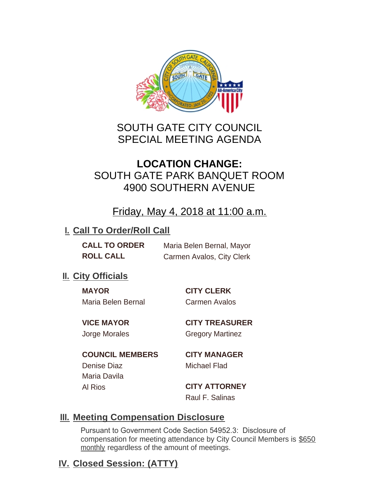

# SOUTH GATE CITY COUNCIL SPECIAL MEETING AGENDA

# **LOCATION CHANGE:** SOUTH GATE PARK BANQUET ROOM 4900 SOUTHERN AVENUE

## Friday, May 4, 2018 at 11:00 a.m.

#### **I. Call To Order/Roll Call**

**CALL TO ORDER** Maria Belen Bernal, Mayor **ROLL CALL** Carmen Avalos, City Clerk

## **II.** City Officials

**MAYOR CITY CLERK** Maria Belen Bernal Carmen Avalos

**VICE MAYOR CITY TREASURER** Jorge Morales Gregory Martinez

**COUNCIL MEMBERS CITY MANAGER** Denise Diaz Michael Flad Maria Davila Al Rios **CITY ATTORNEY**

Raul F. Salinas

## **Meeting Compensation Disclosure III.**

Pursuant to Government Code Section 54952.3: Disclosure of compensation for meeting attendance by City Council Members is \$650 monthly regardless of the amount of meetings.

## **Closed Session: (ATTY) IV.**